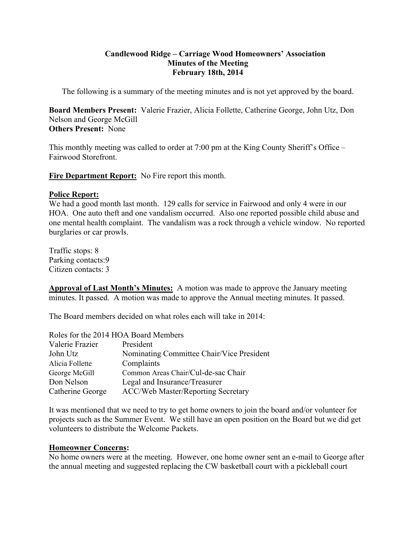# **Candlewood Ridge – Carriage Wood Homeowners' Association Minutes of the Meeting February 18th, 2014**

The following is a summary of the meeting minutes and is not yet approved by the board.

**Board Members Present:** Valerie Frazier, Alicia Follette, Catherine George, John Utz, Don Nelson and George McGill **Others Present:** None

This monthly meeting was called to order at 7:00 pm at the King County Sheriff's Office – Fairwood Storefront.

**Fire Department Report:** No Fire report this month.

# **Police Report:**

We had a good month last month. 129 calls for service in Fairwood and only 4 were in our HOA. One auto theft and one vandalism occurred. Also one reported possible child abuse and one mental health complaint. The vandalism was a rock through a vehicle window. No reported burglaries or car prowls.

Traffic stops: 8 Parking contacts:9 Citizen contacts: 3

**Approval of Last Month's Minutes:** A motion was made to approve the January meeting minutes. It passed. A motion was made to approve the Annual meeting minutes. It passed.

The Board members decided on what roles each will take in 2014:

| Roles for the 2014 HOA Board Members |                                           |
|--------------------------------------|-------------------------------------------|
| Valerie Frazier                      | President                                 |
| John Utz                             | Nominating Committee Chair/Vice President |
| Alicia Follette                      | Complaints                                |
| George McGill                        | Common Areas Chair/Cul-de-sac Chair       |
| Don Nelson                           | Legal and Insurance/Treasurer             |
| Catherine George                     | <b>ACC/Web Master/Reporting Secretary</b> |

It was mentioned that we need to try to get home owners to join the board and/or volunteer for projects such as the Summer Event. We still have an open position on the Board but we did get volunteers to distribute the Welcome Packets.

# **Homeowner Concerns:**

No home owners were at the meeting. However, one home owner sent an e-mail to George after the annual meeting and suggested replacing the CW basketball court with a pickleball court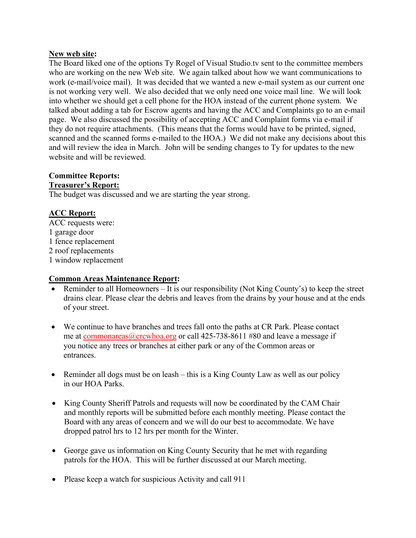# **New web site:**

The Board liked one of the options Ty Rogel of Visual Studio.tv sent to the committee members who are working on the new Web site. We again talked about how we want communications to work (e-mail/voice mail). It was decided that we wanted a new e-mail system as our current one is not working very well. We also decided that we only need one voice mail line. We will look into whether we should get a cell phone for the HOA instead of the current phone system. We talked about adding a tab for Escrow agents and having the ACC and Complaints go to an e-mail page. We also discussed the possibility of accepting ACC and Complaint forms via e-mail if they do not require attachments. (This means that the forms would have to be printed, signed, scanned and the scanned forms e-mailed to the HOA.) We did not make any decisions about this and will review the idea in March. John will be sending changes to Ty for updates to the new website and will be reviewed.

# **Committee Reports: Treasurer's Report:**

The budget was discussed and we are starting the year strong.

# **ACC Report:**

ACC requests were: 1 garage door 1 fence replacement 2 roof replacements 1 window replacement

# **Common Areas Maintenance Report:**

- Reminder to all Homeowners It is our responsibility (Not King County's) to keep the street drains clear. Please clear the debris and leaves from the drains by your house and at the ends of your street.
- We continue to have branches and trees fall onto the paths at CR Park. Please contact me at commonareas@crcwhoa.org or call 425-738-8611 #80 and leave a message if you notice any trees or branches at either park or any of the Common areas or entrances.
- Reminder all dogs must be on leash this is a King County Law as well as our policy in our HOA Parks.
- King County Sheriff Patrols and requests will now be coordinated by the CAM Chair and monthly reports will be submitted before each monthly meeting. Please contact the Board with any areas of concern and we will do our best to accommodate. We have dropped patrol hrs to 12 hrs per month for the Winter.
- George gave us information on King County Security that he met with regarding patrols for the HOA. This will be further discussed at our March meeting.
- Please keep a watch for suspicious Activity and call 911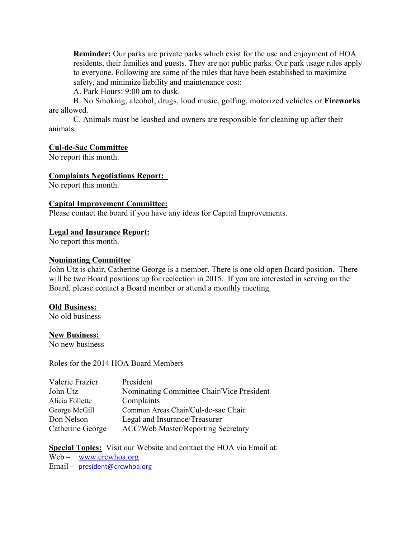**Reminder:** Our parks are private parks which exist for the use and enjoyment of HOA residents, their families and guests. They are not public parks. Our park usage rules apply to everyone. Following are some of the rules that have been established to maximize safety, and minimize liability and maintenance cost:

A. Park Hours: 9:00 am to dusk.

B. No Smoking, alcohol, drugs, loud music, golfing, motorized vehicles or **Fireworks**  are allowed.

C. Animals must be leashed and owners are responsible for cleaning up after their animals.

#### **Cul-de-Sac Committee**

No report this month.

#### **Complaints Negotiations Report:**

No report this month.

#### **Capital Improvement Committee:**

Please contact the board if you have any ideas for Capital Improvements.

#### **Legal and Insurance Report:**

No report this month.

#### **Nominating Committee**

John Utz is chair, Catherine George is a member. There is one old open Board position. There will be two Board positions up for reelection in 2015. If you are interested in serving on the Board, please contact a Board member or attend a monthly meeting.

# **Old Business:**

No old business

#### **New Business:**

No new business

Roles for the 2014 HOA Board Members

| Valerie Frazier  | President                                 |
|------------------|-------------------------------------------|
| John Utz         | Nominating Committee Chair/Vice President |
| Alicia Follette  | Complaints                                |
| George McGill    | Common Areas Chair/Cul-de-sac Chair       |
| Don Nelson       | Legal and Insurance/Treasurer             |
| Catherine George | <b>ACC/Web Master/Reporting Secretary</b> |

# **Special Topics:** Visit our Website and contact the HOA via Email at:

Web – www.crcwhoa.org

Email – president@crcwhoa.org